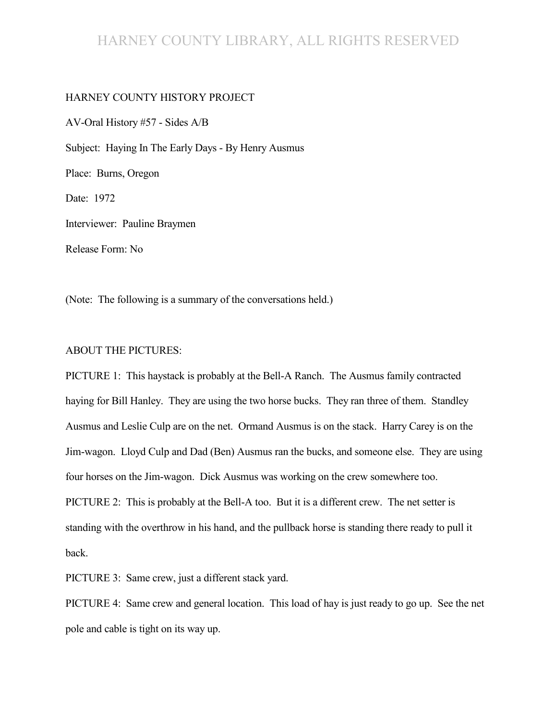# HARNEY COUNTY LIBRARY, ALL RIGHTS RESERVED

#### HARNEY COUNTY HISTORY PROJECT

AV-Oral History #57 - Sides A/B Subject: Haying In The Early Days - By Henry Ausmus Place: Burns, Oregon Date: 1972 Interviewer: Pauline Braymen Release Form: No

(Note: The following is a summary of the conversations held.)

#### ABOUT THE PICTURES:

PICTURE 1: This haystack is probably at the Bell-A Ranch. The Ausmus family contracted haying for Bill Hanley. They are using the two horse bucks. They ran three of them. Standley Ausmus and Leslie Culp are on the net. Ormand Ausmus is on the stack. Harry Carey is on the Jim-wagon. Lloyd Culp and Dad (Ben) Ausmus ran the bucks, and someone else. They are using four horses on the Jim-wagon. Dick Ausmus was working on the crew somewhere too. PICTURE 2: This is probably at the Bell-A too. But it is a different crew. The net setter is standing with the overthrow in his hand, and the pullback horse is standing there ready to pull it back.

PICTURE 3: Same crew, just a different stack yard.

PICTURE 4: Same crew and general location. This load of hay is just ready to go up. See the net pole and cable is tight on its way up.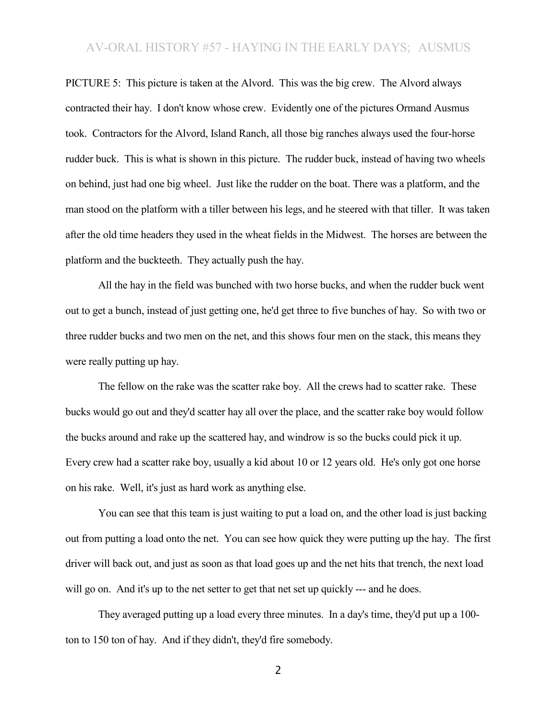PICTURE 5: This picture is taken at the Alvord. This was the big crew. The Alvord always contracted their hay. I don't know whose crew. Evidently one of the pictures Ormand Ausmus took. Contractors for the Alvord, Island Ranch, all those big ranches always used the four-horse rudder buck. This is what is shown in this picture. The rudder buck, instead of having two wheels on behind, just had one big wheel. Just like the rudder on the boat. There was a platform, and the man stood on the platform with a tiller between his legs, and he steered with that tiller. It was taken after the old time headers they used in the wheat fields in the Midwest. The horses are between the platform and the buckteeth. They actually push the hay.

All the hay in the field was bunched with two horse bucks, and when the rudder buck went out to get a bunch, instead of just getting one, he'd get three to five bunches of hay. So with two or three rudder bucks and two men on the net, and this shows four men on the stack, this means they were really putting up hay.

The fellow on the rake was the scatter rake boy. All the crews had to scatter rake. These bucks would go out and they'd scatter hay all over the place, and the scatter rake boy would follow the bucks around and rake up the scattered hay, and windrow is so the bucks could pick it up. Every crew had a scatter rake boy, usually a kid about 10 or 12 years old. He's only got one horse on his rake. Well, it's just as hard work as anything else.

You can see that this team is just waiting to put a load on, and the other load is just backing out from putting a load onto the net. You can see how quick they were putting up the hay. The first driver will back out, and just as soon as that load goes up and the net hits that trench, the next load will go on. And it's up to the net setter to get that net set up quickly --- and he does.

They averaged putting up a load every three minutes. In a day's time, they'd put up a 100 ton to 150 ton of hay. And if they didn't, they'd fire somebody.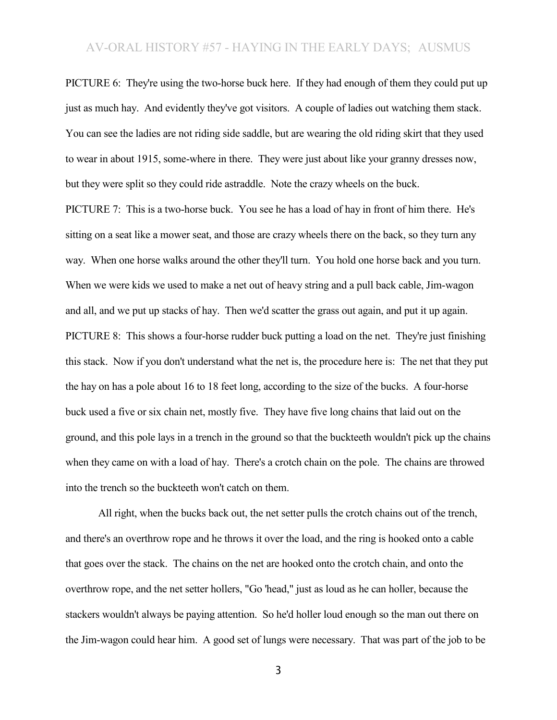PICTURE 6: They're using the two-horse buck here. If they had enough of them they could put up just as much hay. And evidently they've got visitors. A couple of ladies out watching them stack. You can see the ladies are not riding side saddle, but are wearing the old riding skirt that they used to wear in about 1915, some-where in there. They were just about like your granny dresses now, but they were split so they could ride astraddle. Note the crazy wheels on the buck.

PICTURE 7: This is a two-horse buck. You see he has a load of hay in front of him there. He's sitting on a seat like a mower seat, and those are crazy wheels there on the back, so they turn any way. When one horse walks around the other they'll turn. You hold one horse back and you turn. When we were kids we used to make a net out of heavy string and a pull back cable, Jim-wagon and all, and we put up stacks of hay. Then we'd scatter the grass out again, and put it up again. PICTURE 8: This shows a four-horse rudder buck putting a load on the net. They're just finishing this stack. Now if you don't understand what the net is, the procedure here is: The net that they put the hay on has a pole about 16 to 18 feet long, according to the size of the bucks. A four-horse buck used a five or six chain net, mostly five. They have five long chains that laid out on the ground, and this pole lays in a trench in the ground so that the buckteeth wouldn't pick up the chains when they came on with a load of hay. There's a crotch chain on the pole. The chains are throwed into the trench so the buckteeth won't catch on them.

All right, when the bucks back out, the net setter pulls the crotch chains out of the trench, and there's an overthrow rope and he throws it over the load, and the ring is hooked onto a cable that goes over the stack. The chains on the net are hooked onto the crotch chain, and onto the overthrow rope, and the net setter hollers, "Go 'head," just as loud as he can holler, because the stackers wouldn't always be paying attention. So he'd holler loud enough so the man out there on the Jim-wagon could hear him. A good set of lungs were necessary. That was part of the job to be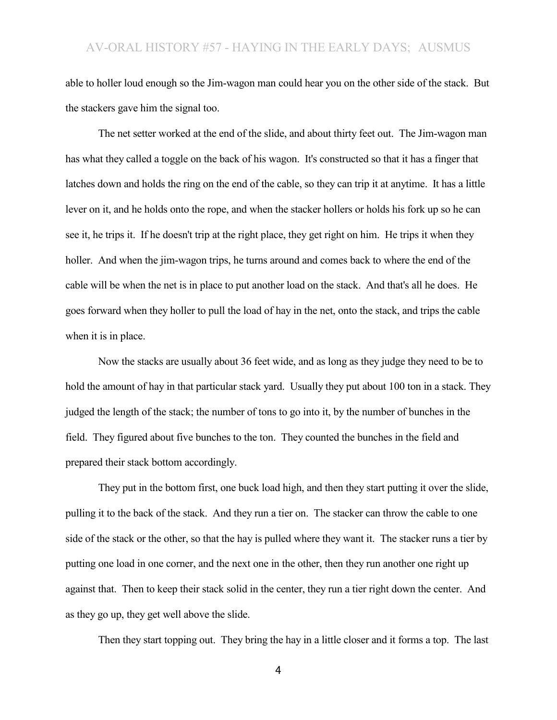able to holler loud enough so the Jim-wagon man could hear you on the other side of the stack. But the stackers gave him the signal too.

The net setter worked at the end of the slide, and about thirty feet out. The Jim-wagon man has what they called a toggle on the back of his wagon. It's constructed so that it has a finger that latches down and holds the ring on the end of the cable, so they can trip it at anytime. It has a little lever on it, and he holds onto the rope, and when the stacker hollers or holds his fork up so he can see it, he trips it. If he doesn't trip at the right place, they get right on him. He trips it when they holler. And when the jim-wagon trips, he turns around and comes back to where the end of the cable will be when the net is in place to put another load on the stack. And that's all he does. He goes forward when they holler to pull the load of hay in the net, onto the stack, and trips the cable when it is in place.

Now the stacks are usually about 36 feet wide, and as long as they judge they need to be to hold the amount of hay in that particular stack yard. Usually they put about 100 ton in a stack. They judged the length of the stack; the number of tons to go into it, by the number of bunches in the field. They figured about five bunches to the ton. They counted the bunches in the field and prepared their stack bottom accordingly.

They put in the bottom first, one buck load high, and then they start putting it over the slide, pulling it to the back of the stack. And they run a tier on. The stacker can throw the cable to one side of the stack or the other, so that the hay is pulled where they want it. The stacker runs a tier by putting one load in one corner, and the next one in the other, then they run another one right up against that. Then to keep their stack solid in the center, they run a tier right down the center. And as they go up, they get well above the slide.

Then they start topping out. They bring the hay in a little closer and it forms a top. The last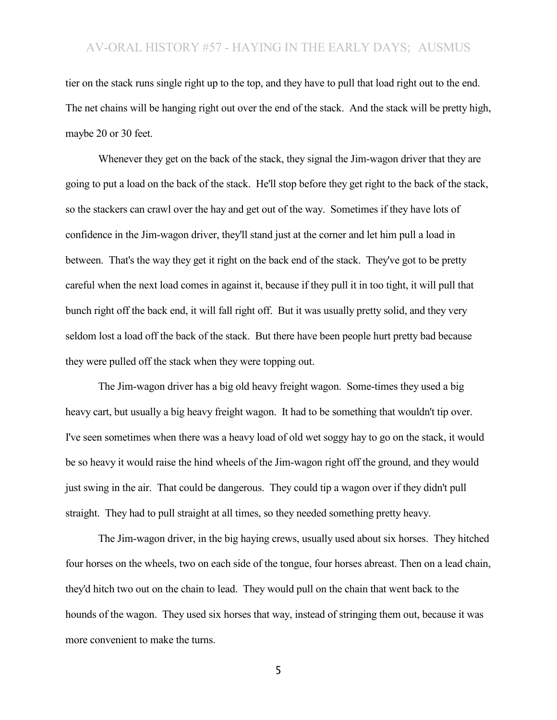tier on the stack runs single right up to the top, and they have to pull that load right out to the end. The net chains will be hanging right out over the end of the stack. And the stack will be pretty high, maybe 20 or 30 feet.

Whenever they get on the back of the stack, they signal the Jim-wagon driver that they are going to put a load on the back of the stack. He'll stop before they get right to the back of the stack, so the stackers can crawl over the hay and get out of the way. Sometimes if they have lots of confidence in the Jim-wagon driver, they'll stand just at the corner and let him pull a load in between. That's the way they get it right on the back end of the stack. They've got to be pretty careful when the next load comes in against it, because if they pull it in too tight, it will pull that bunch right off the back end, it will fall right off. But it was usually pretty solid, and they very seldom lost a load off the back of the stack. But there have been people hurt pretty bad because they were pulled off the stack when they were topping out.

The Jim-wagon driver has a big old heavy freight wagon. Some-times they used a big heavy cart, but usually a big heavy freight wagon. It had to be something that wouldn't tip over. I've seen sometimes when there was a heavy load of old wet soggy hay to go on the stack, it would be so heavy it would raise the hind wheels of the Jim-wagon right off the ground, and they would just swing in the air. That could be dangerous. They could tip a wagon over if they didn't pull straight. They had to pull straight at all times, so they needed something pretty heavy.

The Jim-wagon driver, in the big haying crews, usually used about six horses. They hitched four horses on the wheels, two on each side of the tongue, four horses abreast. Then on a lead chain, they'd hitch two out on the chain to lead. They would pull on the chain that went back to the hounds of the wagon. They used six horses that way, instead of stringing them out, because it was more convenient to make the turns.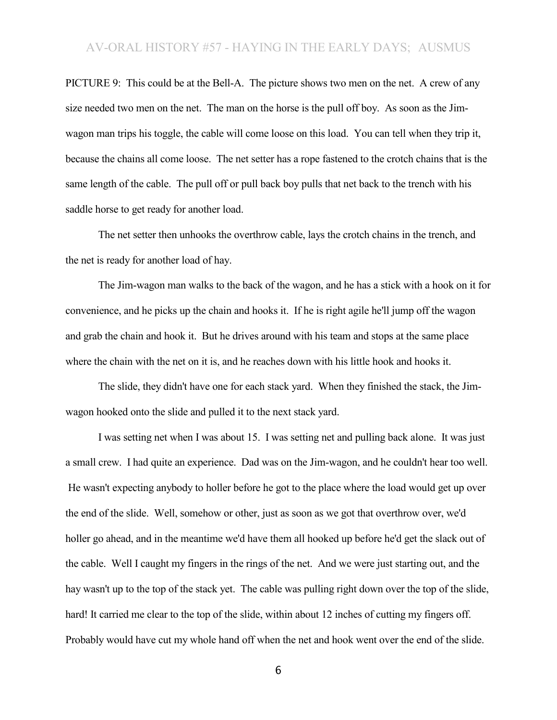PICTURE 9: This could be at the Bell-A. The picture shows two men on the net. A crew of any size needed two men on the net. The man on the horse is the pull off boy. As soon as the Jimwagon man trips his toggle, the cable will come loose on this load. You can tell when they trip it, because the chains all come loose. The net setter has a rope fastened to the crotch chains that is the same length of the cable. The pull off or pull back boy pulls that net back to the trench with his saddle horse to get ready for another load.

The net setter then unhooks the overthrow cable, lays the crotch chains in the trench, and the net is ready for another load of hay.

The Jim-wagon man walks to the back of the wagon, and he has a stick with a hook on it for convenience, and he picks up the chain and hooks it. If he is right agile he'll jump off the wagon and grab the chain and hook it. But he drives around with his team and stops at the same place where the chain with the net on it is, and he reaches down with his little hook and hooks it.

The slide, they didn't have one for each stack yard. When they finished the stack, the Jimwagon hooked onto the slide and pulled it to the next stack yard.

I was setting net when I was about 15. I was setting net and pulling back alone. It was just a small crew. I had quite an experience. Dad was on the Jim-wagon, and he couldn't hear too well. He wasn't expecting anybody to holler before he got to the place where the load would get up over the end of the slide. Well, somehow or other, just as soon as we got that overthrow over, we'd holler go ahead, and in the meantime we'd have them all hooked up before he'd get the slack out of the cable. Well I caught my fingers in the rings of the net. And we were just starting out, and the hay wasn't up to the top of the stack yet. The cable was pulling right down over the top of the slide, hard! It carried me clear to the top of the slide, within about 12 inches of cutting my fingers off. Probably would have cut my whole hand off when the net and hook went over the end of the slide.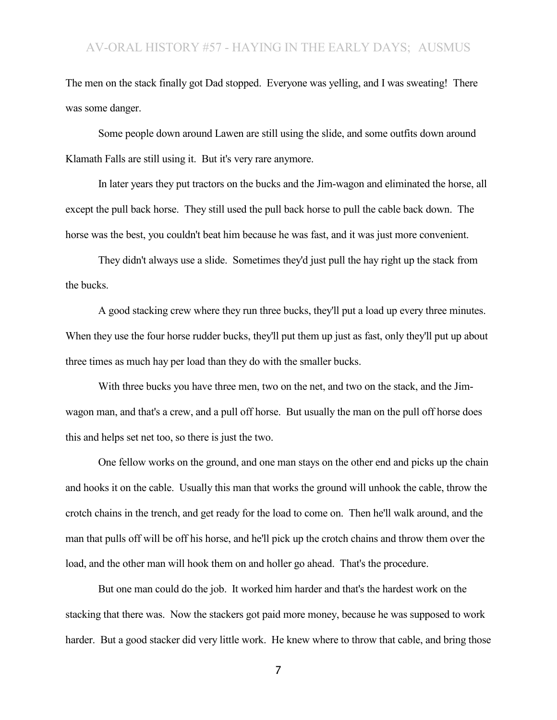The men on the stack finally got Dad stopped. Everyone was yelling, and I was sweating! There was some danger.

Some people down around Lawen are still using the slide, and some outfits down around Klamath Falls are still using it. But it's very rare anymore.

In later years they put tractors on the bucks and the Jim-wagon and eliminated the horse, all except the pull back horse. They still used the pull back horse to pull the cable back down. The horse was the best, you couldn't beat him because he was fast, and it was just more convenient.

They didn't always use a slide. Sometimes they'd just pull the hay right up the stack from the bucks.

A good stacking crew where they run three bucks, they'll put a load up every three minutes. When they use the four horse rudder bucks, they'll put them up just as fast, only they'll put up about three times as much hay per load than they do with the smaller bucks.

With three bucks you have three men, two on the net, and two on the stack, and the Jimwagon man, and that's a crew, and a pull off horse. But usually the man on the pull off horse does this and helps set net too, so there is just the two.

One fellow works on the ground, and one man stays on the other end and picks up the chain and hooks it on the cable. Usually this man that works the ground will unhook the cable, throw the crotch chains in the trench, and get ready for the load to come on. Then he'll walk around, and the man that pulls off will be off his horse, and he'll pick up the crotch chains and throw them over the load, and the other man will hook them on and holler go ahead. That's the procedure.

But one man could do the job. It worked him harder and that's the hardest work on the stacking that there was. Now the stackers got paid more money, because he was supposed to work harder. But a good stacker did very little work. He knew where to throw that cable, and bring those